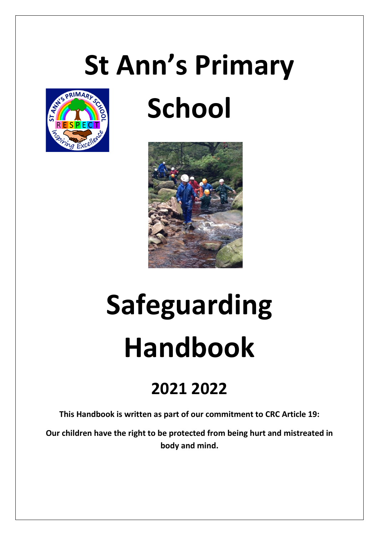## **St Ann's Primary**



### **School**



# **Safeguarding Handbook**

### **2021 2022**

**This Handbook is written as part of our commitment to CRC Article 19:** 

**Our children have the right to be protected from being hurt and mistreated in body and mind.**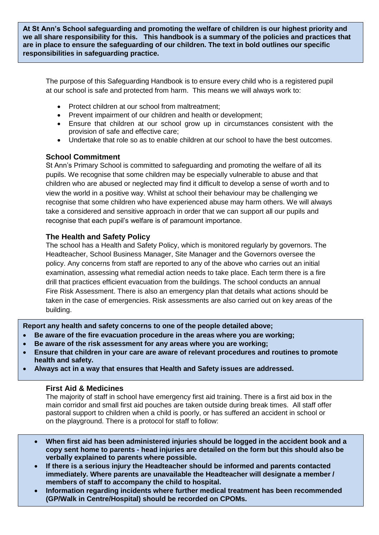**At St Ann's School safeguarding and promoting the welfare of children is our highest priority and we all share responsibility for this. This handbook is a summary of the policies and practices that are in place to ensure the safeguarding of our children. The text in bold outlines our specific responsibilities in safeguarding practice.**

The purpose of this Safeguarding Handbook is to ensure every child who is a registered pupil at our school is safe and protected from harm. This means we will always work to:

- Protect children at our school from maltreatment:
- Prevent impairment of our children and health or development:
- Ensure that children at our school grow up in circumstances consistent with the provision of safe and effective care;
- Undertake that role so as to enable children at our school to have the best outcomes.

#### **School Commitment**

St Ann's Primary School is committed to safeguarding and promoting the welfare of all its pupils. We recognise that some children may be especially vulnerable to abuse and that children who are abused or neglected may find it difficult to develop a sense of worth and to view the world in a positive way. Whilst at school their behaviour may be challenging we recognise that some children who have experienced abuse may harm others. We will always take a considered and sensitive approach in order that we can support all our pupils and recognise that each pupil's welfare is of paramount importance.

#### **The Health and Safety Policy**

The school has a Health and Safety Policy, which is monitored regularly by governors. The Headteacher, School Business Manager, Site Manager and the Governors oversee the policy. Any concerns from staff are reported to any of the above who carries out an initial examination, assessing what remedial action needs to take place. Each term there is a fire drill that practices efficient evacuation from the buildings. The school conducts an annual Fire Risk Assessment. There is also an emergency plan that details what actions should be taken in the case of emergencies. Risk assessments are also carried out on key areas of the building.

**Report any health and safety concerns to one of the people detailed above;** 

- **Be aware of the fire evacuation procedure in the areas where you are working;**
- **Be aware of the risk assessment for any areas where you are working;**
- **Ensure that children in your care are aware of relevant procedures and routines to promote health and safety.**
- **Always act in a way that ensures that Health and Safety issues are addressed.**

#### **First Aid & Medicines**

The majority of staff in school have emergency first aid training. There is a first aid box in the main corridor and small first aid pouches are taken outside during break times. All staff offer pastoral support to children when a child is poorly, or has suffered an accident in school or on the playground. There is a protocol for staff to follow:

- **When first aid has been administered injuries should be logged in the accident book and a copy sent home to parents - head injuries are detailed on the form but this should also be verbally explained to parents where possible.**
- we have to a corrost mysity the riceated are in the securities and parents contacted.<br>**immediately. Where parents are unavailable the Headteacher will designate a member / If there is a serious injury the Headteacher should be informed and parents contacted members of staff to accompany the child to hospital.**
- **Information regarding incidents where further medical treatment has been recommended (GP/Walk in Centre/Hospital) should be recorded on CPOMs.**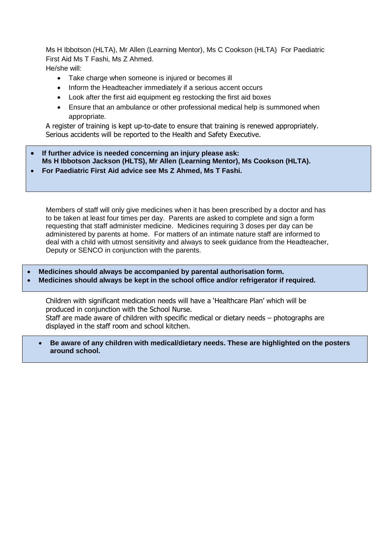Ms H Ibbotson (HLTA), Mr Allen (Learning Mentor), Ms C Cookson (HLTA) For Paediatric First Aid Ms T Fashi, Ms Z Ahmed. He/she will:

- Take charge when someone is injured or becomes ill
- Inform the Headteacher immediately if a serious accent occurs
- Look after the first aid equipment eg restocking the first aid boxes
- Ensure that an ambulance or other professional medical help is summoned when appropriate.

A register of training is kept up-to-date to ensure that training is renewed appropriately. Serious accidents will be reported to the Health and Safety Executive.

- **If further advice is needed concerning an injury please ask: Ms H Ibbotson Jackson (HLTS), Mr Allen (Learning Mentor), Ms Cookson (HLTA).**
- **For Paediatric First Aid advice see Ms Z Ahmed, Ms T Fashi.**

Members of staff will only give medicines when it has been prescribed by a doctor and has to be taken at least four times per day. Parents are asked to complete and sign a form requesting that staff administer medicine. Medicines requiring 3 doses per day can be administered by parents at home. For matters of an intimate nature staff are informed to deal with a child with utmost sensitivity and always to seek guidance from the Headteacher, Deputy or SENCO in conjunction with the parents.

- **Medicines should always be accompanied by parental authorisation form.**
- **Medicines should always be kept in the school office and/or refrigerator if required.**

Children with significant medication needs will have a 'Healthcare Plan' which will be produced in conjunction with the School Nurse. Staff are made aware of children with specific medical or dietary needs – photographs are displayed in the staff room and school kitchen.

 **Be aware of any children with medical/dietary needs. These are highlighted on the posters around school.**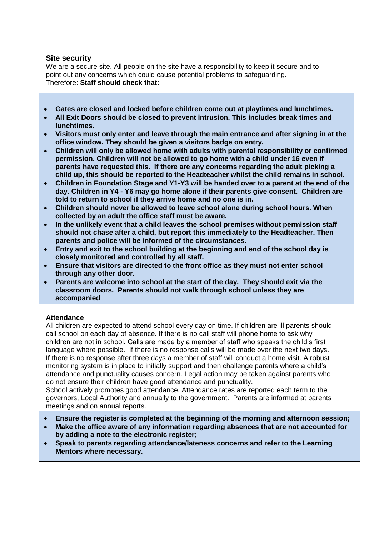#### **Site security**

We are a secure site. All people on the site have a responsibility to keep it secure and to point out any concerns which could cause potential problems to safeguarding. Therefore: **Staff should check that:**

- **Gates are closed and locked before children come out at playtimes and lunchtimes.**
- **All Exit Doors should be closed to prevent intrusion. This includes break times and lunchtimes.**
- **Visitors must only enter and leave through the main entrance and after signing in at the office window. They should be given a visitors badge on entry.**
- **Children will only be allowed home with adults with parental responsibility or confirmed permission. Children will not be allowed to go home with a child under 16 even if parents have requested this. If there are any concerns regarding the adult picking a child up, this should be reported to the Headteacher whilst the child remains in school.**
- **Children in Foundation Stage and Y1-Y3 will be handed over to a parent at the end of the day. Children in Y4 - Y6 may go home alone if their parents give consent. Children are told to return to school if they arrive home and no one is in.**
- **Children should never be allowed to leave school alone during school hours. When collected by an adult the office staff must be aware.**
- **In the unlikely event that a child leaves the school premises without permission staff should not chase after a child, but report this immediately to the Headteacher. Then parents and police will be informed of the circumstances.**
- **Entry and exit to the school building at the beginning and end of the school day is closely monitored and controlled by all staff.**
- **Ensure that visitors are directed to the front office as they must not enter school through any other door.**
- **Parents are welcome into school at the start of the day. They should exit via the classroom doors. Parents should not walk through school unless they are accompanied**

#### **Attendance**

All children are expected to attend school every day on time. If children are ill parents should call school on each day of absence. If there is no call staff will phone home to ask why children are not in school. Calls are made by a member of staff who speaks the child's first language where possible. If there is no response calls will be made over the next two days. If there is no response after three days a member of staff will conduct a home visit. A robust monitoring system is in place to initially support and then challenge parents where a child's attendance and punctuality causes concern. Legal action may be taken against parents who do not ensure their children have good attendance and punctuality.

School actively promotes good attendance. Attendance rates are reported each term to the governors, Local Authority and annually to the government. Parents are informed at parents meetings and on annual reports.

- **Ensure the register is completed at the beginning of the morning and afternoon session;**
- **Make the office aware of any information regarding absences that are not accounted for by adding a note to the electronic register;**
- **Speak to parents regarding attendance/lateness concerns and refer to the Learning Mentors where necessary.**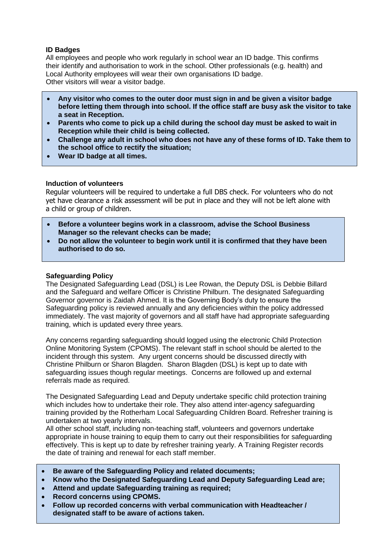#### **ID Badges**

All employees and people who work regularly in school wear an ID badge. This confirms their identify and authorisation to work in the school. Other professionals (e.g. health) and Local Authority employees will wear their own organisations ID badge. Other visitors will wear a visitor badge.

- **Any visitor who comes to the outer door must sign in and be given a visitor badge before letting them through into school. If the office staff are busy ask the visitor to take a seat in Reception.**
- **Parents who come to pick up a child during the school day must be asked to wait in Reception while their child is being collected.**
- **Challenge any adult in school who does not have any of these forms of ID. Take them to the school office to rectify the situation;**
- **Wear ID badge at all times.**

#### **Induction of volunteers**

Regular volunteers will be required to undertake a full DBS check. For volunteers who do not yet have clearance a risk assessment will be put in place and they will not be left alone with a child or group of children.

- **Before a volunteer begins work in a classroom, advise the School Business Manager so the relevant checks can be made;**
- **Do not allow the volunteer to begin work until it is confirmed that they have been authorised to do so.**

#### **Safeguarding Policy**

The Designated Safeguarding Lead (DSL) is Lee Rowan, the Deputy DSL is Debbie Billard and the Safeguard and welfare Officer is Christine Philburn. The designated Safeguarding Governor governor is Zaidah Ahmed. It is the Governing Body's duty to ensure the Safeguarding policy is reviewed annually and any deficiencies within the policy addressed immediately. The vast majority of governors and all staff have had appropriate safeguarding training, which is updated every three years.

Any concerns regarding safeguarding should logged using the electronic Child Protection Online Monitoring System (CPOMS). The relevant staff in school should be alerted to the incident through this system. Any urgent concerns should be discussed directly with Christine Philburn or Sharon Blagden. Sharon Blagden (DSL) is kept up to date with safeguarding issues though regular meetings. Concerns are followed up and external referrals made as required.

The Designated Safeguarding Lead and Deputy undertake specific child protection training which includes how to undertake their role. They also attend inter-agency safeguarding training provided by the Rotherham Local Safeguarding Children Board. Refresher training is undertaken at two yearly intervals.

All other school staff, including non-teaching staff, volunteers and governors undertake appropriate in house training to equip them to carry out their responsibilities for safeguarding effectively. This is kept up to date by refresher training yearly. A Training Register records the date of training and renewal for each staff member.

- **Be aware of the Safeguarding Policy and related documents;**
- **Know who the Designated Safeguarding Lead and Deputy Safeguarding Lead are;**
- **Attend and update Safeguarding training as required;**
- **Record concerns using CPOMS.**
- **Follow up recorded concerns with verbal communication with Headteacher / designated staff to be aware of actions taken.**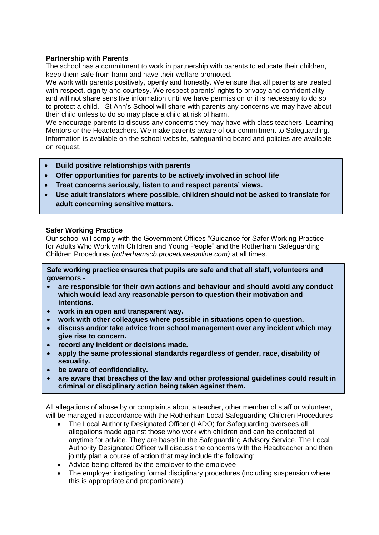#### **Partnership with Parents**

The school has a commitment to work in partnership with parents to educate their children, keep them safe from harm and have their welfare promoted.

We work with parents positively, openly and honestly. We ensure that all parents are treated with respect, dignity and courtesy. We respect parents' rights to privacy and confidentiality and will not share sensitive information until we have permission or it is necessary to do so to protect a child. St Ann's School will share with parents any concerns we may have about their child unless to do so may place a child at risk of harm.

We encourage parents to discuss any concerns they may have with class teachers, Learning Mentors or the Headteachers. We make parents aware of our commitment to Safeguarding. Information is available on the school website, safeguarding board and policies are available on request.

- **Build positive relationships with parents**
- **Offer opportunities for parents to be actively involved in school life**
- **Treat concerns seriously, listen to and respect parents' views.**
- **Use adult translators where possible, children should not be asked to translate for adult concerning sensitive matters.**

#### **Safer Working Practice**

Our school will comply with the Government Offices "Guidance for Safer Working Practice for Adults Who Work with Children and Young People" and the Rotherham Safeguarding Children Procedures (*rotherhamscb.proceduresonline.com)* at all times.

**Safe working practice ensures that pupils are safe and that all staff, volunteers and governors -**

- **are responsible for their own actions and behaviour and should avoid any conduct which would lead any reasonable person to question their motivation and intentions.**
- **work in an open and transparent way.**
- **work with other colleagues where possible in situations open to question.**
- **discuss and/or take advice from school management over any incident which may give rise to concern.**
- **record any incident or decisions made.**
- **apply the same professional standards regardless of gender, race, disability of sexuality.**
- **be aware of confidentiality.**
- **are aware that breaches of the law and other professional guidelines could result in criminal or disciplinary action being taken against them.**

All allegations of abuse by or complaints about a teacher, other member of staff or volunteer, will be managed in accordance with the Rotherham Local Safeguarding Children Procedures

- The Local Authority Designated Officer (LADO) for Safeguarding oversees all allegations made against those who work with children and can be contacted at anytime for advice. They are based in the Safeguarding Advisory Service. The Local Authority Designated Officer will discuss the concerns with the Headteacher and then jointly plan a course of action that may include the following:
- Advice being offered by the employer to the employee
- The employer instigating formal disciplinary procedures (including suspension where this is appropriate and proportionate)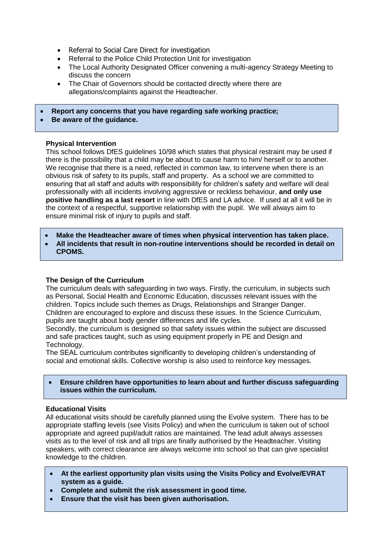- Referral to Social Care Direct for investigation
- Referral to the Police Child Protection Unit for investigation
- The Local Authority Designated Officer convening a multi-agency Strategy Meeting to discuss the concern
- The Chair of Governors should be contacted directly where there are allegations/complaints against the Headteacher.
- **Report any concerns that you have regarding safe working practice;**
- **Be aware of the guidance.**

#### **Physical Intervention**

This school follows DfES guidelines 10/98 which states that physical restraint may be used if there is the possibility that a child may be about to cause harm to him/ herself or to another. We recognise that there is a need, reflected in common law, to intervene when there is an obvious risk of safety to its pupils, staff and property. As a school we are committed to ensuring that all staff and adults with responsibility for children's safety and welfare will deal professionally with all incidents involving aggressive or reckless behaviour, **and only use positive handling as a last resort** in line with DfES and LA advice. If used at all it will be in the context of a respectful, supportive relationship with the pupil. We will always aim to ensure minimal risk of injury to pupils and staff.

- **Make the Headteacher aware of times when physical intervention has taken place.**
- **All incidents that result in non-routine interventions should be recorded in detail on CPOMS.**

#### **The Design of the Curriculum**

The curriculum deals with safeguarding in two ways. Firstly, the curriculum, in subjects such as Personal, Social Health and Economic Education, discusses relevant issues with the children. Topics include such themes as Drugs, Relationships and Stranger Danger. Children are encouraged to explore and discuss these issues. In the Science Curriculum, pupils are taught about body gender differences and life cycles.

Secondly, the curriculum is designed so that safety issues within the subject are discussed and safe practices taught, such as using equipment properly in PE and Design and Technology.

The SEAL curriculum contributes significantly to developing children's understanding of social and emotional skills. Collective worship is also used to reinforce key messages.

 **Ensure children have opportunities to learn about and further discuss safeguarding issues within the curriculum.**

#### **Educational Visits**

All educational visits should be carefully planned using the Evolve system. There has to be appropriate staffing levels (see Visits Policy) and when the curriculum is taken out of school appropriate and agreed pupil/adult ratios are maintained. The lead adult always assesses visits as to the level of risk and all trips are finally authorised by the Headteacher. Visiting speakers, with correct clearance are always welcome into school so that can give specialist knowledge to the children.

- **At the earliest opportunity plan visits using the Visits Policy and Evolve/EVRAT system as a guide.**
- **Complete and submit the risk assessment in good time.**
- **Ensure that the visit has been given authorisation.**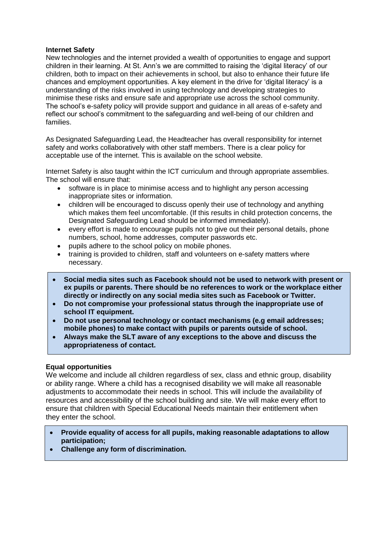#### **Internet Safety**

New technologies and the internet provided a wealth of opportunities to engage and support children in their learning. At St. Ann's we are committed to raising the 'digital literacy' of our children, both to impact on their achievements in school, but also to enhance their future life chances and employment opportunities. A key element in the drive for 'digital literacy' is a understanding of the risks involved in using technology and developing strategies to minimise these risks and ensure safe and appropriate use across the school community. The school's e-safety policy will provide support and guidance in all areas of e-safety and reflect our school's commitment to the safeguarding and well-being of our children and families.

As Designated Safeguarding Lead, the Headteacher has overall responsibility for internet safety and works collaboratively with other staff members. There is a clear policy for acceptable use of the internet. This is available on the school website.

Internet Safety is also taught within the ICT curriculum and through appropriate assemblies. The school will ensure that:

- software is in place to minimise access and to highlight any person accessing inappropriate sites or information.
- children will be encouraged to discuss openly their use of technology and anything which makes them feel uncomfortable. (If this results in child protection concerns, the Designated Safeguarding Lead should be informed immediately).
- every effort is made to encourage pupils not to give out their personal details, phone numbers, school, home addresses, computer passwords etc.
- pupils adhere to the school policy on mobile phones.
- training is provided to children, staff and volunteers on e-safety matters where necessary.
- **Social media sites such as Facebook should not be used to network with present or ex pupils or parents. There should be no references to work or the workplace either directly or indirectly on any social media sites such as Facebook or Twitter.**
- **Do not compromise your professional status through the inappropriate use of school IT equipment.**
- **Do not use personal technology or contact mechanisms (e.g email addresses; mobile phones) to make contact with pupils or parents outside of school.**
- **Always make the SLT aware of any exceptions to the above and discuss the appropriateness of contact.**

#### **Equal opportunities**

We welcome and include all children regardless of sex, class and ethnic group, disability or ability range. Where a child has a recognised disability we will make all reasonable adjustments to accommodate their needs in school. This will include the availability of resources and accessibility of the school building and site. We will make every effort to ensure that children with Special Educational Needs maintain their entitlement when they enter the school.

- **Provide equality of access for all pupils, making reasonable adaptations to allow participation;**
- **Challenge any form of discrimination.**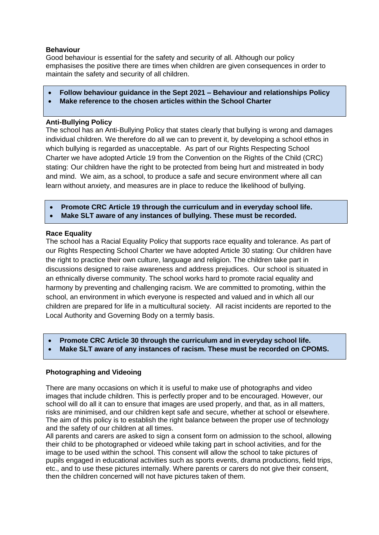#### **Behaviour**

Good behaviour is essential for the safety and security of all. Although our policy emphasises the positive there are times when children are given consequences in order to maintain the safety and security of all children.

- **Follow behaviour guidance in the Sept 2021 – Behaviour and relationships Policy**
- **Make reference to the chosen articles within the School Charter**

#### **Anti-Bullying Policy**

The school has an Anti-Bullying Policy that states clearly that bullying is wrong and damages individual children. We therefore do all we can to prevent it, by developing a school ethos in which bullying is regarded as unacceptable. As part of our Rights Respecting School Charter we have adopted Article 19 from the Convention on the Rights of the Child (CRC) stating: Our children have the right to be protected from being hurt and mistreated in body and mind. We aim, as a school, to produce a safe and secure environment where all can learn without anxiety, and measures are in place to reduce the likelihood of bullying.

- **Promote CRC Article 19 through the curriculum and in everyday school life.**
- **Make SLT aware of any instances of bullying. These must be recorded.**

#### **Race Equality**

The school has a Racial Equality Policy that supports race equality and tolerance. As part of our Rights Respecting School Charter we have adopted Article 30 stating: Our children have the right to practice their own culture, language and religion. The children take part in discussions designed to raise awareness and address prejudices. Our school is situated in an ethnically diverse community. The school works hard to promote racial equality and harmony by preventing and challenging racism. We are committed to promoting, within the school, an environment in which everyone is respected and valued and in which all our children are prepared for life in a multicultural society. All racist incidents are reported to the Local Authority and Governing Body on a termly basis.

- **Promote CRC Article 30 through the curriculum and in everyday school life.**
- **Make SLT aware of any instances of racism. These must be recorded on CPOMS.**

#### **Photographing and Videoing**

There are many occasions on which it is useful to make use of photographs and video images that include children. This is perfectly proper and to be encouraged. However, our school will do all it can to ensure that images are used properly, and that, as in all matters, risks are minimised, and our children kept safe and secure, whether at school or elsewhere. The aim of this policy is to establish the right balance between the proper use of technology and the safety of our children at all times.

All parents and carers are asked to sign a consent form on admission to the school, allowing their child to be photographed or videoed while taking part in school activities, and for the image to be used within the school. This consent will allow the school to take pictures of pupils engaged in educational activities such as sports events, drama productions, field trips, etc., and to use these pictures internally. Where parents or carers do not give their consent, then the children concerned will not have pictures taken of them.